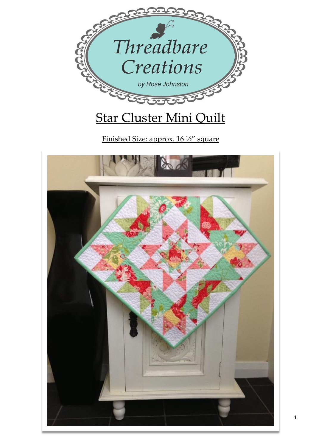

Finished Size: approx. 16 ½" square

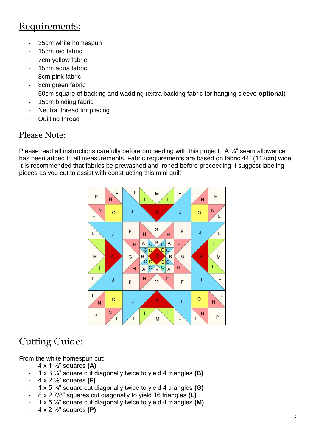# Requirements:

- 35cm white homespun
- 15cm red fabric
- 7cm yellow fabric
- 15cm aqua fabric
- 8cm pink fabric
- 8cm green fabric
- 50cm square of backing and wadding (extra backing fabric for hanging sleeve-**optional**)
- 15cm binding fabric
- Neutral thread for piecing
- Quilting thread

### Please Note:

Please read all instructions carefully before proceeding with this project. A  $\frac{1}{4}$ " seam allowance has been added to all measurements. Fabric requirements are based on fabric 44" (112cm) wide. It is recommended that fabrics be prewashed and ironed before proceeding. I suggest labeling pieces as you cut to assist with constructing this mini quilt.



# Cutting Guide:

From the white homespun cut:

- 4 x 1 ½" squares **(A)**
- 1 x 3 ¼" square cut diagonally twice to yield 4 triangles **(B)**
- 4 x 2 ½" squares **(F)**
- 1 x 5 ¼" square cut diagonally twice to yield 4 triangles **(G)**
- 8 x 2 7/8" squares cut diagonally to yield 16 triangles **(L)**
- 1 x 5 ¼" square cut diagonally twice to yield 4 triangles **(M)**
- 4 x 2 ½" squares **(P)**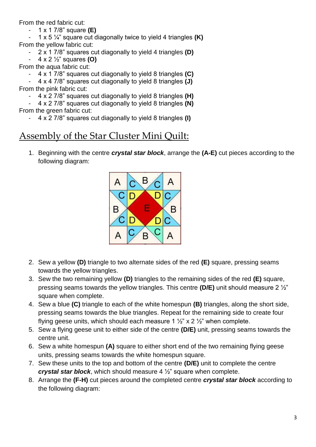From the red fabric cut:

- 1 x 1 7/8" square **(E)**
- 1 x 5 ¼" square cut diagonally twice to yield 4 triangles **(K)** From the yellow fabric cut:
	- 2 x 1 7/8" squares cut diagonally to yield 4 triangles **(D)**
		- 4 x 2 ½" squares **(O)**
- From the aqua fabric cut:
	- 4 x 1 7/8" squares cut diagonally to yield 8 triangles **(C)**
- 4 x 4 7/8" squares cut diagonally to yield 8 triangles **(J)** From the pink fabric cut:
	- 4 x 2 7/8" squares cut diagonally to yield 8 triangles **(H)**
	- 4 x 2 7/8" squares cut diagonally to yield 8 triangles **(N)**
- From the green fabric cut:
	- 4 x 2 7/8" squares cut diagonally to yield 8 triangles **(I)**

## Assembly of the Star Cluster Mini Quilt:

1. Beginning with the centre *crystal star block*, arrange the **(A-E)** cut pieces according to the following diagram:



- 2. Sew a yellow **(D)** triangle to two alternate sides of the red **(E)** square, pressing seams towards the yellow triangles.
- 3. Sew the two remaining yellow **(D)** triangles to the remaining sides of the red **(E)** square, pressing seams towards the yellow triangles. This centre **(D/E)** unit should measure 2 ½" square when complete.
- 4. Sew a blue **(C)** triangle to each of the white homespun **(B)** triangles, along the short side, pressing seams towards the blue triangles. Repeat for the remaining side to create four flying geese units, which should each measure 1  $\frac{1}{2}$  x 2  $\frac{1}{2}$  when complete.
- 5. Sew a flying geese unit to either side of the centre **(D/E)** unit, pressing seams towards the centre unit.
- 6. Sew a white homespun **(A)** square to either short end of the two remaining flying geese units, pressing seams towards the white homespun square.
- 7. Sew these units to the top and bottom of the centre **(D/E)** unit to complete the centre *crystal star block*, which should measure 4 ½" square when complete.
- 8. Arrange the **(F-H)** cut pieces around the completed centre *crystal star block* according to the following diagram: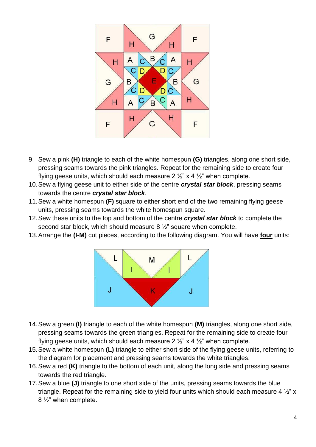

- 9. Sew a pink **(H)** triangle to each of the white homespun **(G)** triangles, along one short side, pressing seams towards the pink triangles. Repeat for the remaining side to create four flying geese units, which should each measure 2  $\frac{1}{2}$ " x 4  $\frac{1}{2}$ " when complete.
- 10.Sew a flying geese unit to either side of the centre *crystal star block*, pressing seams towards the centre *crystal star block*.
- 11.Sew a white homespun **(F)** square to either short end of the two remaining flying geese units, pressing seams towards the white homespun square.
- 12.Sew these units to the top and bottom of the centre *crystal star block* to complete the second star block, which should measure 8 ½" square when complete.
- 13.Arrange the **(I-M)** cut pieces, according to the following diagram. You will have **four** units:



- 14.Sew a green **(I)** triangle to each of the white homespun **(M)** triangles, along one short side, pressing seams towards the green triangles. Repeat for the remaining side to create four flying geese units, which should each measure  $2\frac{1}{2}$  x 4  $\frac{1}{2}$  when complete.
- 15.Sew a white homespun **(L)** triangle to either short side of the flying geese units, referring to the diagram for placement and pressing seams towards the white triangles.
- 16.Sew a red **(K)** triangle to the bottom of each unit, along the long side and pressing seams towards the red triangle.
- 17.Sew a blue **(J)** triangle to one short side of the units, pressing seams towards the blue triangle. Repeat for the remaining side to yield four units which should each measure 4  $\frac{1}{2}$ " x 8 ½" when complete.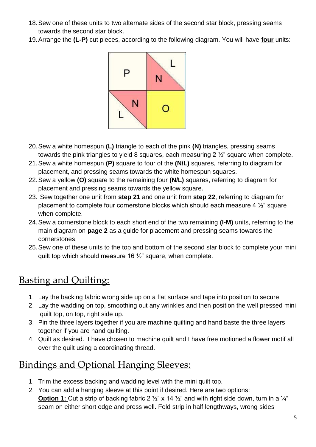- 18.Sew one of these units to two alternate sides of the second star block, pressing seams towards the second star block.
- 19.Arrange the **(L-P)** cut pieces, according to the following diagram. You will have **four** units:



- 20.Sew a white homespun **(L)** triangle to each of the pink **(N)** triangles, pressing seams towards the pink triangles to yield 8 squares, each measuring 2 ½" square when complete.
- 21.Sew a white homespun **(P)** square to four of the **(N/L)** squares, referring to diagram for placement, and pressing seams towards the white homespun squares.
- 22.Sew a yellow **(O)** square to the remaining four **(N/L)** squares, referring to diagram for placement and pressing seams towards the yellow square.
- 23. Sew together one unit from **step 21** and one unit from **step 22**, referring to diagram for placement to complete four cornerstone blocks which should each measure 4 ½" square when complete.
- 24.Sew a cornerstone block to each short end of the two remaining **(I-M)** units, referring to the main diagram on **page 2** as a guide for placement and pressing seams towards the cornerstones.
- 25.Sew one of these units to the top and bottom of the second star block to complete your mini quilt top which should measure 16 ½" square, when complete.

# Basting and Quilting:

- 1. Lay the backing fabric wrong side up on a flat surface and tape into position to secure.
- 2. Lay the wadding on top, smoothing out any wrinkles and then position the well pressed mini quilt top, on top, right side up.
- 3. Pin the three layers together if you are machine quilting and hand baste the three layers together if you are hand quilting.
- 4. Quilt as desired. I have chosen to machine quilt and I have free motioned a flower motif all over the quilt using a coordinating thread.

# Bindings and Optional Hanging Sleeves:

- 1. Trim the excess backing and wadding level with the mini quilt top.
- 2. You can add a hanging sleeve at this point if desired. Here are two options: **Option 1:** Cut a strip of backing fabric 2  $\frac{1}{2}$ " x 14  $\frac{1}{2}$ " and with right side down, turn in a  $\frac{1}{4}$ " seam on either short edge and press well. Fold strip in half lengthways, wrong sides